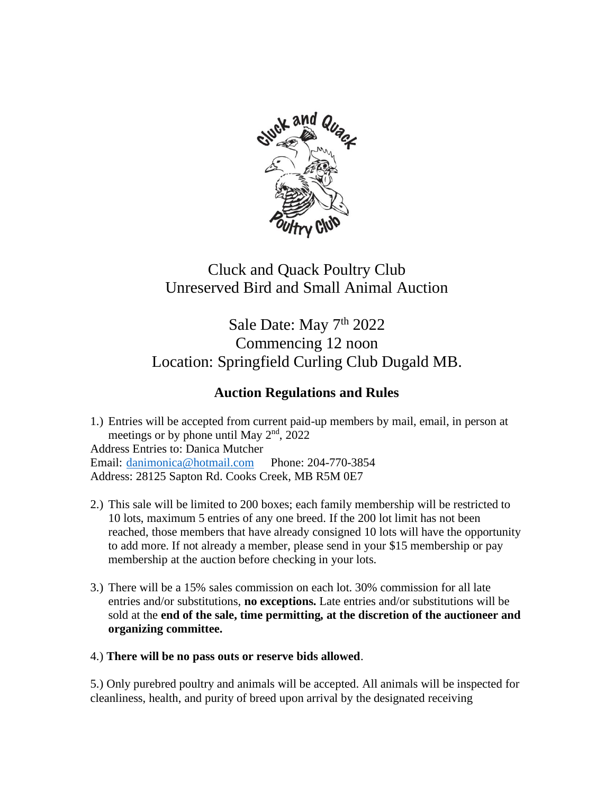

## Cluck and Quack Poultry Club Unreserved Bird and Small Animal Auction

Sale Date: May 7<sup>th</sup> 2022 Commencing 12 noon Location: Springfield Curling Club Dugald MB.

## **Auction Regulations and Rules**

1.) Entries will be accepted from current paid-up members by mail, email, in person at meetings or by phone until May  $2<sup>nd</sup>$ , 2022 Address Entries to: Danica Mutcher Email: [danimonica@hotmail.com](mailto:danimonica@hotmail.com) Phone: 204-770-3854 Address: 28125 Sapton Rd. Cooks Creek, MB R5M 0E7

- 2.) This sale will be limited to 200 boxes; each family membership will be restricted to 10 lots, maximum 5 entries of any one breed. If the 200 lot limit has not been reached, those members that have already consigned 10 lots will have the opportunity to add more. If not already a member, please send in your \$15 membership or pay membership at the auction before checking in your lots.
- 3.) There will be a 15% sales commission on each lot. 30% commission for all late entries and/or substitutions, **no exceptions.** Late entries and/or substitutions will be sold at the **end of the sale, time permitting, at the discretion of the auctioneer and organizing committee.**
- 4.) **There will be no pass outs or reserve bids allowed**.

5.) Only purebred poultry and animals will be accepted. All animals will be inspected for cleanliness, health, and purity of breed upon arrival by the designated receiving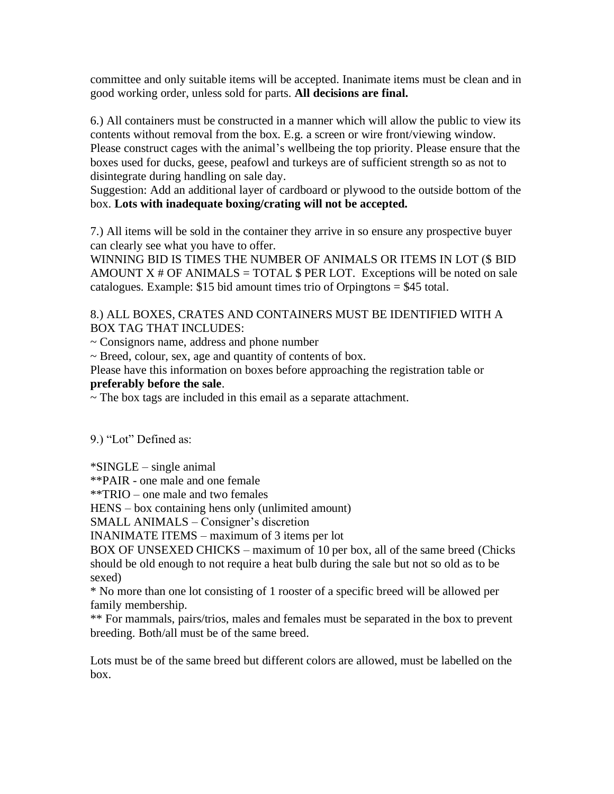committee and only suitable items will be accepted. Inanimate items must be clean and in good working order, unless sold for parts. **All decisions are final.**

6.) All containers must be constructed in a manner which will allow the public to view its contents without removal from the box. E.g. a screen or wire front/viewing window. Please construct cages with the animal's wellbeing the top priority. Please ensure that the boxes used for ducks, geese, peafowl and turkeys are of sufficient strength so as not to disintegrate during handling on sale day.

Suggestion: Add an additional layer of cardboard or plywood to the outside bottom of the box. **Lots with inadequate boxing/crating will not be accepted.**

7.) All items will be sold in the container they arrive in so ensure any prospective buyer can clearly see what you have to offer.

WINNING BID IS TIMES THE NUMBER OF ANIMALS OR ITEMS IN LOT (\$ BID AMOUNT  $X \#$  OF ANIMALS = TOTAL  $\$$  PER LOT. Exceptions will be noted on sale catalogues. Example:  $$15$  bid amount times trio of Orpingtons =  $$45$  total.

## 8.) ALL BOXES, CRATES AND CONTAINERS MUST BE IDENTIFIED WITH A BOX TAG THAT INCLUDES:

~ Consignors name, address and phone number

~ Breed, colour, sex, age and quantity of contents of box.

Please have this information on boxes before approaching the registration table or **preferably before the sale**.

 $\sim$  The box tags are included in this email as a separate attachment.

9.) "Lot" Defined as:

\*SINGLE – single animal

\*\*PAIR - one male and one female

\*\*TRIO – one male and two females

HENS – box containing hens only (unlimited amount)

SMALL ANIMALS – Consigner's discretion

INANIMATE ITEMS – maximum of 3 items per lot

BOX OF UNSEXED CHICKS – maximum of 10 per box, all of the same breed (Chicks should be old enough to not require a heat bulb during the sale but not so old as to be sexed)

\* No more than one lot consisting of 1 rooster of a specific breed will be allowed per family membership.

\*\* For mammals, pairs/trios, males and females must be separated in the box to prevent breeding. Both/all must be of the same breed.

Lots must be of the same breed but different colors are allowed, must be labelled on the box.